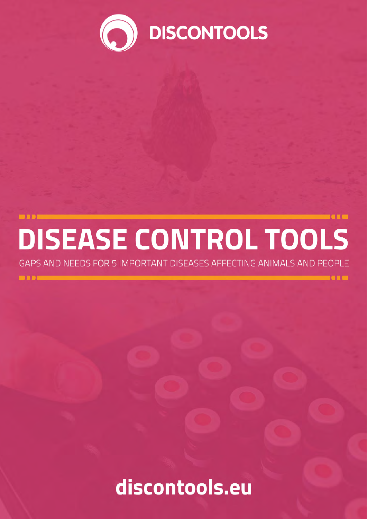

**TECH** 

# DISEASE CONTROL TOOLS

GAPS AND NEEDS FOR 5 IMPORTANT DISEASES AFFECTING ANIMALS AND PEOPLE

 $\overline{\mathbf{D}}$ 

discontools.eu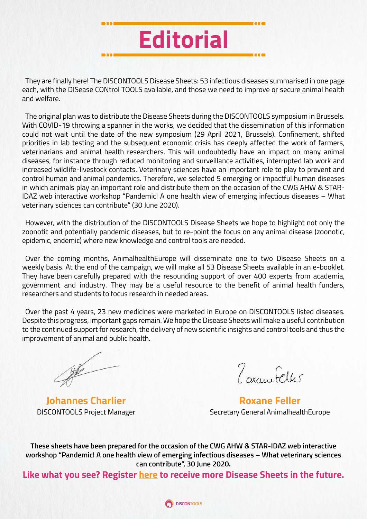

They are finally here! The DISCONTOOLS Disease Sheets: 53 infectious diseases summarised in one page each, with the DISease CONtrol TOOLS available, and those we need to improve or secure animal health and welfare.

The original plan was to distribute the Disease Sheets during the DISCONTOOLS symposium in Brussels. With COVID-19 throwing a spanner in the works, we decided that the dissemination of this information could not wait until the date of the new symposium (29 April 2021, Brussels). Confinement, shifted priorities in lab testing and the subsequent economic crisis has deeply affected the work of farmers, veterinarians and animal health researchers. This will undoubtedly have an impact on many animal diseases, for instance through reduced monitoring and surveillance activities, interrupted lab work and increased wildlife-livestock contacts. Veterinary sciences have an important role to play to prevent and control human and animal pandemics. Therefore, we selected 5 emerging or impactful human diseases in which animals play an important role and distribute them on the occasion of the CWG AHW & STAR-IDAZ web interactive workshop "Pandemic! A one health view of emerging infectious diseases – What veterinary sciences can contribute" (30 June 2020).

However, with the distribution of the DISCONTOOLS Disease Sheets we hope to highlight not only the zoonotic and potentially pandemic diseases, but to re-point the focus on any animal disease (zoonotic, epidemic, endemic) where new knowledge and control tools are needed.

Over the coming months, AnimalhealthEurope will disseminate one to two Disease Sheets on a weekly basis. At the end of the campaign, we will make all 53 Disease Sheets available in an e-booklet. They have been carefully prepared with the resounding support of over 400 experts from academia, government and industry. They may be a useful resource to the benefit of animal health funders, researchers and students to focus research in needed areas.

Over the past 4 years, 23 new medicines were marketed in Europe on DISCONTOOLS listed diseases. Despite this progress, important gaps remain. We hope the Disease Sheets will make a useful contribution to the continued support for research, the delivery of new scientific insights and control tools and thus the improvement of animal and public health.

 $\frac{1}{\sqrt{2}}$ 

**Johannes Charlier** DISCONTOOLS Project Manager

7 orang Feller

**Roxane Feller** Secretary General AnimalhealthEurope

**These sheets have been prepared for the occasion of the CWG AHW & STAR-IDAZ web interactive workshop "Pandemic! A one health view of emerging infectious diseases – What veterinary sciences can contribute", 30 June 2020.**

**Like what you see? Register [here](https://discontools.us18.list-manage.com/subscribe?u=b43322e7e96abb896c37cc4a7&id=8906bf2594) to receive more Disease Sheets in the future.**

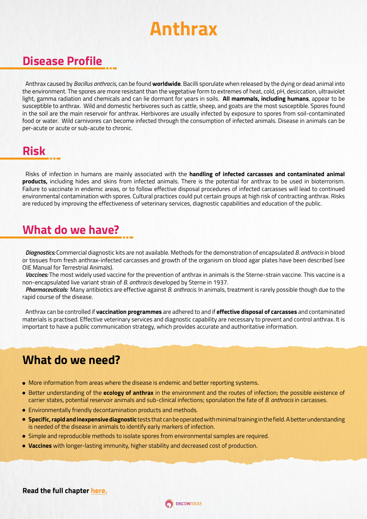### **Anthrax**

#### **Disease Profile**

Anthrax caused by *Bacillus anthracis*, can be found **worldwide**. Bacilli sporulate when released by the dying or dead animal into the environment. The spores are more resistant than the vegetative form to extremes of heat, cold, pH, desiccation, ultraviolet light, gamma radiation and chemicals and can lie dormant for years in soils. **All mammals, including humans**, appear to be susceptible to anthrax. Wild and domestic herbivores such as cattle, sheep, and goats are the most susceptible. Spores found in the soil are the main reservoir for anthrax. Herbivores are usually infected by exposure to spores from soil-contaminated food or water. Wild carnivores can become infected through the consumption of infected animals. Disease in animals can be per-acute or acute or sub-acute to chronic.

#### **Risk**

Risks of infection in humans are mainly associated with the **handling of infected carcasses and contaminated animal products,** including hides and skins from infected animals. There is the potential for anthrax to be used in bioterrorism. Failure to vaccinate in endemic areas, or to follow effective disposal procedures of infected carcasses will lead to continued environmental contamination with spores. Cultural practices could put certain groups at high risk of contracting anthrax. Risks are reduced by improving the effectiveness of veterinary services, diagnostic capabilities and education of the public.

#### **What do we have?**

*Diagnostics:* Commercial diagnostic kits are not available. Methods for the demonstration of encapsulated *B. anthracis* in blood or tissues from fresh anthrax-infected carcasses and growth of the organism on blood agar plates have been described (see OIE Manual for Terrestrial Animals).

*Vaccines:* The most widely used vaccine for the prevention of anthrax in animals is the Sterne-strain vaccine. This vaccine is a non-encapsulated live variant strain of *B. anthracis* developed by Sterne in 1937.

*Pharmaceuticals:* Many antibiotics are effective against *B. anthracis.* In animals, treatment is rarely possible though due to the rapid course of the disease.

Anthrax can be controlled if **vaccination programmes** are adhered to and if **effective disposal of carcasses** and contaminated materials is practised. Effective veterinary services and diagnostic capability are necessary to prevent and control anthrax. It is important to have a public communication strategy, which provides accurate and authoritative information.

#### **What do we need?**

- More information from areas where the disease is endemic and better reporting systems.
- Better understanding of the **ecology of anthrax** in the environment and the routes of infection; the possible existence of carrier states, potential reservoir animals and sub-clinical infections; sporulation the fate of *B. anthracis* in carcasses.
- Environmentally friendly decontamination products and methods.
- **Specific, rapid and inexpensive diagnostic** tests that can be operated with minimal training in the field. A better understanding is needed of the disease in animals to identify early markers of infection.
- Simple and reproducible methods to isolate spores from environmental samples are required.
- **Vaccines** with longer-lasting immunity, higher stability and decreased cost of production.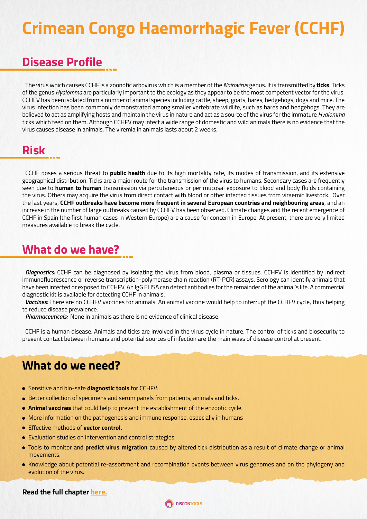### **Crimean Congo Haemorrhagic Fever (CCHF)**

#### **Disease Profile**

The virus which causes CCHF is a zoonotic arbovirus which is a member of the *Nairovirus* genus. It is transmitted by **ticks**. Ticks of the genus *Hyalomma* are particularly important to the ecology as they appear to be the most competent vector for the virus. CCHFV has been isolated from a number of animal species including cattle, sheep, goats, hares, hedgehogs, dogs and mice. The virus infection has been commonly demonstrated among smaller vertebrate wildlife, such as hares and hedgehogs. They are believed to act as amplifying hosts and maintain the virus in nature and act as a source of the virus for the immature *Hyalomma*  ticks which feed on them. Although CCHFV may infect a wide range of domestic and wild animals there is no evidence that the virus causes disease in animals. The viremia in animals lasts about 2 weeks.

#### **Risk**

CCHF poses a serious threat to **public health** due to its high mortality rate, its modes of transmission, and its extensive geographical distribution. Ticks are a major route for the transmission of the virus to humans. Secondary cases are frequently seen due to **human to human** transmission via percutaneous or per mucosal exposure to blood and body fluids containing the virus. Others may acquire the virus from direct contact with blood or other infected tissues from viraemic livestock. Over the last years, **CCHF outbreaks have become more frequent in several European countries and neighbouring areas**, and an increase in the number of large outbreaks caused by CCHFV has been observed. Climate changes and the recent emergence of CCHF in Spain (the first human cases in Western Europe) are a cause for concern in Europe. At present, there are very limited measures available to break the cycle.

#### **What do we have?**

*Diagnostics:* CCHF can be diagnosed by isolating the virus from blood, plasma or tissues. CCHFV is identified by indirect immunofluorescence or reverse transcription-polymerase chain reaction (RT-PCR) assays. Serology can identify animals that have been infected or exposed to CCHFV. An IgG ELISA can detect antibodies for the remainder of the animal's life. A commercial diagnostic kit is available for detecting CCHF in animals.

*Vaccines:* There are no CCHFV vaccines for animals. An animal vaccine would help to interrupt the CCHFV cycle, thus helping to reduce disease prevalence.

*Pharmaceuticals:* None in animals as there is no evidence of clinical disease.

CCHF is a human disease. Animals and ticks are involved in the virus cycle in nature. The control of ticks and biosecurity to prevent contact between humans and potential sources of infection are the main ways of disease control at present.

#### **What do we need?**

- Sensitive and bio-safe **diagnostic tools** for CCHFV.
- Better collection of specimens and serum panels from patients, animals and ticks.
- **Animal vaccines** that could help to prevent the establishment of the enzootic cycle.
- More information on the pathogenesis and immune response, especially in humans
- Effective methods of **vector control.**
- Evaluation studies on intervention and control strategies.
- Tools to monitor and **predict virus migration** caused by altered tick distribution as a result of climate change or animal movements.
- Knowledge about potential re-assortment and recombination events between virus genomes and on the phylogeny and evolution of the virus.

#### **Read the full chapter [here.](https://www.discontools.eu/database/81-crimean-congo-haemorrhagic-fever.html)**

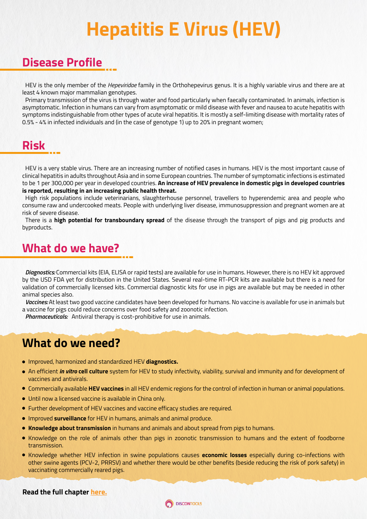## **Hepatitis E Virus (HEV)**

#### **Disease Profile**

HEV is the only member of the *Hepeviridae* family in the Orthohepevirus genus. It is a highly variable virus and there are at least 4 known major mammalian genotypes.

Primary transmission of the virus is through water and food particularly when faecally contaminated. In animals, infection is asymptomatic. Infection in humans can vary from asymptomatic or mild disease with fever and nausea to acute hepatitis with symptoms indistinguishable from other types of acute viral hepatitis. It is mostly a self-limiting disease with mortality rates of 0.5% - 4% in infected individuals and (in the case of genotype 1) up to 20% in pregnant women;

#### **Risk**

HEV is a very stable virus. There are an increasing number of notified cases in humans. HEV is the most important cause of clinical hepatitis in adults throughout Asia and in some European countries. The number of symptomatic infections is estimated to be 1 per 300,000 per year in developed countries. **An increase of HEV prevalence in domestic pigs in developed countries is reported, resulting in an increasing public health threat.**

High risk populations include veterinarians, slaughterhouse personnel, travellers to hyperendemic area and people who consume raw and undercooked meats. People with underlying liver disease, immunosuppression and pregnant women are at risk of severe disease.

There is a **high potential for transboundary spread** of the disease through the transport of pigs and pig products and byproducts.

#### **What do we have?**

*Diagnostics:* Commercial kits (EIA, ELISA or rapid tests) are available for use in humans. However, there is no HEV kit approved by the USD FDA yet for distribution in the United States. Several real-time RT-PCR kits are available but there is a need for validation of commercially licensed kits. Commercial diagnostic kits for use in pigs are available but may be needed in other animal species also.

*Vaccines:* At least two good vaccine candidates have been developed for humans. No vaccine is available for use in animals but a vaccine for pigs could reduce concerns over food safety and zoonotic infection.

*Pharmaceuticals:* Antiviral therapy is cost-prohibitive for use in animals.

#### **What do we need?**

- Improved, harmonized and standardized HEV **diagnostics.**
- An efficient *in vitro* **cell culture** system for HEV to study infectivity, viability, survival and immunity and for development of vaccines and antivirals.
- Commercially available **HEV vaccines** in all HEV endemic regions for the control of infection in human or animal populations.
- Until now a licensed vaccine is available in China only.
- Further development of HEV vaccines and vaccine efficacy studies are required.
- Improved **surveillance** for HEV in humans, animals and animal produce.
- **Knowledge about transmission** in humans and animals and about spread from pigs to humans.
- Knowledge on the role of animals other than pigs in zoonotic transmission to humans and the extent of foodborne transmission.
- Knowledge whether HEV infection in swine populations causes **economic losses** especially during co-infections with other swine agents (PCV-2, PRRSV) and whether there would be other benefits (beside reducing the risk of pork safety) in vaccinating commercially reared pigs.

#### **Read the full chapter [here.](https://www.discontools.eu/database/73-hepatitis-e-virus.html)**

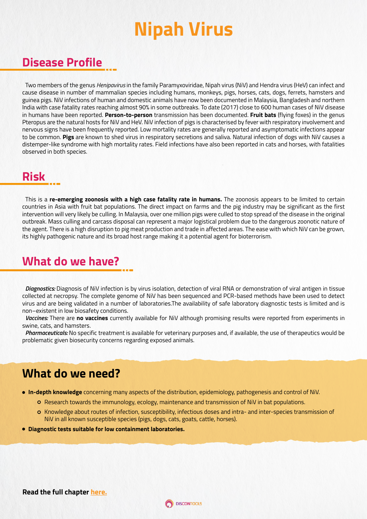## **Nipah Virus**

#### **Disease Profile**

Two members of the genus *Henipavirus* in the family Paramyxoviridae, Nipah virus (NiV) and Hendra virus (HeV) can infect and cause disease in number of mammalian species including humans, monkeys, pigs, horses, cats, dogs, ferrets, hamsters and guinea pigs. NiV infections of human and domestic animals have now been documented in Malaysia, Bangladesh and northern India with case fatality rates reaching almost 90% in some outbreaks. To date (2017) close to 600 human cases of NiV disease in humans have been reported. **Person-to-person** transmission has been documented. **Fruit bats** (flying foxes) in the genus Pteropus are the natural hosts for NiV and HeV. NiV infection of pigs is characterised by fever with respiratory involvement and nervous signs have been frequently reported. Low mortality rates are generally reported and asymptomatic infections appear to be common. **Pigs** are known to shed virus in respiratory secretions and saliva. Natural infection of dogs with NiV causes a distemper-like syndrome with high mortality rates. Field infections have also been reported in cats and horses, with fatalities observed in both species.

### **Risk**

This is a **re-emerging zoonosis with a high case fatality rate in humans.** The zoonosis appears to be limited to certain countries in Asia with fruit bat populations. The direct impact on farms and the pig industry may be significant as the first intervention will very likely be culling. In Malaysia, over one million pigs were culled to stop spread of the disease in the original outbreak. Mass culling and carcass disposal can represent a major logistical problem due to the dangerous zoonotic nature of the agent. There is a high disruption to pig meat production and trade in affected areas. The ease with which NiV can be grown, its highly pathogenic nature and its broad host range making it a potential agent for bioterrorism.

#### **What do we have?**

*Diagnostics:* Diagnosis of NiV infection is by virus isolation, detection of viral RNA or demonstration of viral antigen in tissue collected at necropsy. The complete genome of NiV has been sequenced and PCR-based methods have been used to detect virus and are being validated in a number of laboratories.The availability of safe laboratory diagnostic tests is limited and is non–existent in low biosafety conditions.

*Vaccines:* There are **no vaccines** currently available for NiV although promising results were reported from experiments in swine, cats, and hamsters.

*Pharmaceuticals:* No specific treatment is available for veterinary purposes and, if available, the use of therapeutics would be problematic given biosecurity concerns regarding exposed animals.

#### **What do we need?**

- **In-depth knowledge** concerning many aspects of the distribution, epidemiology, pathogenesis and control of NiV.
	- Research towards the immunology, ecology, maintenance and transmission of NiV in bat populations.
	- o Knowledge about routes of infection, susceptibility, infectious doses and intra- and inter-species transmission of NiV in all known susceptible species (pigs, dogs, cats, goats, cattle, horses).
- **Diagnostic tests suitable for low containment laboratories.**

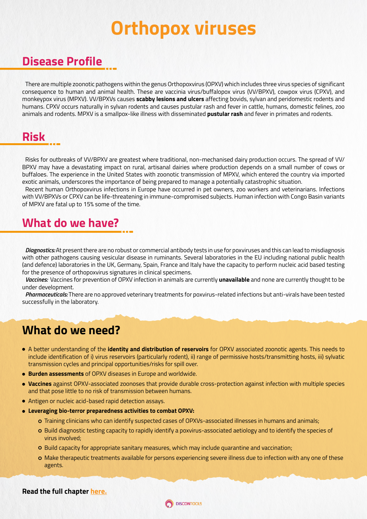### **Orthopox viruses**

#### **Disease Profile**

There are multiple zoonotic pathogens within the genus Orthopoxvirus (OPXV) which includes three virus species of significant consequence to human and animal health. These are vaccinia virus/buffalopox virus (VV/BPXV), cowpox virus (CPXV), and monkeypox virus (MPXV). VV/BPXVs causes **scabby lesions and ulcers** affecting bovids, sylvan and peridomestic rodents and humans. CPXV occurs naturally in sylvan rodents and causes pustular rash and fever in cattle, humans, domestic felines, zoo animals and rodents. MPXV is a smallpox-like illness with disseminated **pustular rash** and fever in primates and rodents.

### **Risk**

Risks for outbreaks of VV/BPXV are greatest where traditional, non-mechanised dairy production occurs. The spread of VV/ BPXV may have a devastating impact on rural, artisanal dairies where production depends on a small number of cows or buffaloes. The experience in the United States with zoonotic transmission of MPXV, which entered the country via imported exotic animals, underscores the importance of being prepared to manage a potentially catastrophic situation.

Recent human Orthopoxvirus infections in Europe have occurred in pet owners, zoo workers and veterinarians. Infections with VV/BPXVs or CPXV can be life-threatening in immune-compromised subjects. Human infection with Congo Basin variants of MPXV are fatal up to 15% some of the time.

#### **What do we have?**

*Diagnostics:* At present there are no robust or commercial antibody tests in use for poxviruses and this can lead to misdiagnosis with other pathogens causing vesicular disease in ruminants. Several laboratories in the EU including national public health (and defence) laboratories in the UK, Germany, Spain, France and Italy have the capacity to perform nucleic acid based testing for the presence of orthopoxvirus signatures in clinical specimens.

*Vaccines:* Vaccines for prevention of OPXV infection in animals are currently **unavailable** and none are currently thought to be under development.

*Pharmaceuticals:* There are no approved veterinary treatments for poxvirus-related infections but anti-virals have been tested successfully in the laboratory.

#### **What do we need?**

- A better understanding of the **identity and distribution of reservoirs** for OPXV associated zoonotic agents. This needs to include identification of i) virus reservoirs (particularly rodent), ii) range of permissive hosts/transmitting hosts, iii) sylvatic transmission cycles and principal opportunities/risks for spill over.
- **Burden assessments** of OPXV diseases in Europe and worldwide.
- **Vaccines** against OPXV-associated zoonoses that provide durable cross-protection against infection with multiple species and that pose little to no risk of transmission between humans.
- Antigen or nucleic acid-based rapid detection assays.
- **Leveraging bio-terror preparedness activities to combat OPXV:**
	- Training clinicians who can identify suspected cases of OPXVs-associated illnesses in humans and animals;
	- o Build diagnostic testing capacity to rapidly identify a poxvirus-associated aetiology and to identify the species of virus involved;
	- o Build capacity for appropriate sanitary measures, which may include quarantine and vaccination;
	- Make therapeutic treatments available for persons experiencing severe illness due to infection with any one of these agents.

**Read the full chapter [here.](https://www.discontools.eu/database/85-orthopox.html)**